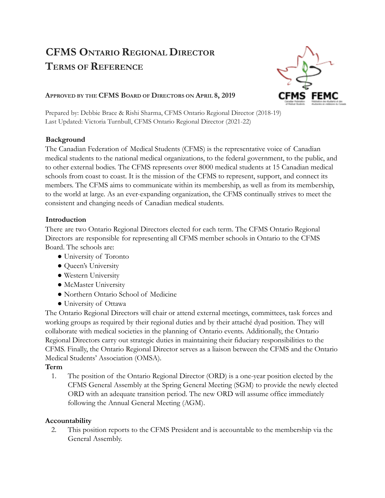# **CFMS ONTARIO REGIONAL DIRECTOR TERMS OF REFERENCE**



#### **APPROVED BY THE CFMS BOARD OF DIRECTORS ON APRIL 8, 2019**

Prepared by: Debbie Brace & Rishi Sharma, CFMS Ontario Regional Director (2018-19) Last Updated: Victoria Turnbull, CFMS Ontario Regional Director (2021-22)

### **Background**

The Canadian Federation of Medical Students (CFMS) is the representative voice of Canadian medical students to the national medical organizations, to the federal government, to the public, and to other external bodies. The CFMS represents over 8000 medical students at 15 Canadian medical schools from coast to coast. It is the mission of the CFMS to represent, support, and connect its members. The CFMS aims to communicate within its membership, as well as from its membership, to the world at large. As an ever-expanding organization, the CFMS continually strives to meet the consistent and changing needs of Canadian medical students.

### **Introduction**

There are two Ontario Regional Directors elected for each term. The CFMS Ontario Regional Directors are responsible for representing all CFMS member schools in Ontario to the CFMS Board. The schools are:

- University of Toronto
- Queen's University
- Western University
- McMaster University
- Northern Ontario School of Medicine
- University of Ottawa

The Ontario Regional Directors will chair or attend external meetings, committees, task forces and working groups as required by their regional duties and by their attaché dyad position. They will collaborate with medical societies in the planning of Ontario events. Additionally, the Ontario Regional Directors carry out strategic duties in maintaining their fiduciary responsibilities to the CFMS. Finally, the Ontario Regional Director serves as a liaison between the CFMS and the Ontario Medical Students' Association (OMSA).

# **Term**

1. The position of the Ontario Regional Director (ORD) is a one-year position elected by the CFMS General Assembly at the Spring General Meeting (SGM) to provide the newly elected ORD with an adequate transition period. The new ORD will assume office immediately following the Annual General Meeting (AGM).

# **Accountability**

2. This position reports to the CFMS President and is accountable to the membership via the General Assembly.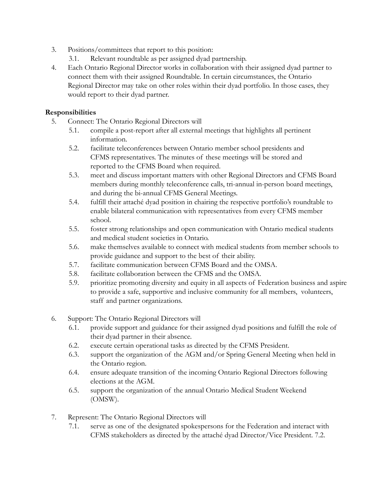- 3. Positions/committees that report to this position:
	- 3.1. Relevant roundtable as per assigned dyad partnership.
- 4. Each Ontario Regional Director works in collaboration with their assigned dyad partner to connect them with their assigned Roundtable. In certain circumstances, the Ontario Regional Director may take on other roles within their dyad portfolio. In those cases, they would report to their dyad partner.

#### **Responsibilities**

- 5. Connect: The Ontario Regional Directors will
	- 5.1. compile a post-report after all external meetings that highlights all pertinent information.
	- 5.2. facilitate teleconferences between Ontario member school presidents and CFMS representatives. The minutes of these meetings will be stored and reported to the CFMS Board when required.
	- 5.3. meet and discuss important matters with other Regional Directors and CFMS Board members during monthly teleconference calls, tri-annual in-person board meetings, and during the bi-annual CFMS General Meetings.
	- 5.4. fulfill their attaché dyad position in chairing the respective portfolio's roundtable to enable bilateral communication with representatives from every CFMS member school.
	- 5.5. foster strong relationships and open communication with Ontario medical students and medical student societies in Ontario.
	- 5.6. make themselves available to connect with medical students from member schools to provide guidance and support to the best of their ability.
	- 5.7. facilitate communication between CFMS Board and the OMSA.
	- 5.8. facilitate collaboration between the CFMS and the OMSA.
	- 5.9. prioritize promoting diversity and equity in all aspects of Federation business and aspire to provide a safe, supportive and inclusive community for all members, volunteers, staff and partner organizations.
- 6. Support: The Ontario Regional Directors will
	- 6.1. provide support and guidance for their assigned dyad positions and fulfill the role of their dyad partner in their absence.
	- 6.2. execute certain operational tasks as directed by the CFMS President.
	- 6.3. support the organization of the AGM and/or Spring General Meeting when held in the Ontario region.
	- 6.4. ensure adequate transition of the incoming Ontario Regional Directors following elections at the AGM.
	- 6.5. support the organization of the annual Ontario Medical Student Weekend (OMSW).
- 7. Represent: The Ontario Regional Directors will
	- 7.1. serve as one of the designated spokespersons for the Federation and interact with CFMS stakeholders as directed by the attaché dyad Director/Vice President. 7.2.